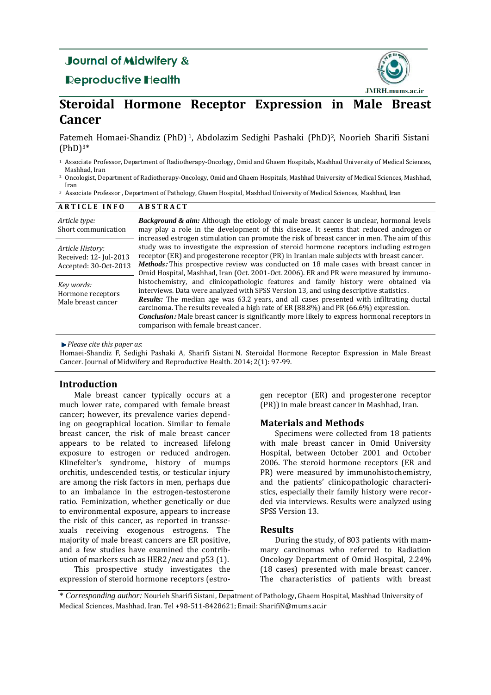# **Journal of Midwifery &**

## **Reproductive Health**



# **Steroidal Hormone Receptor Expression in Male Breast Cancer**

Fatemeh Homaei-Shandiz (PhD) <sup>1</sup>, Abdolazim Sedighi Pashaki (PhD) <sup>2</sup>, [Noorieh Sharifi Sistani](https://mail.mums.ac.ir/owa/?ae=Dialog&t=AddressBook&ab=&ctx=1&sch=sharifi)  $(PhD)$ <sup>3\*</sup>

- <sup>1</sup> Associate Professor, Department of Radiotherapy-Oncology, Omid and Ghaem Hospitals, Mashhad University of Medical Sciences, Mashhad, Iran
- <sup>2</sup> Oncologist, Department of Radiotherapy-Oncology, Omid and Ghaem Hospitals, Mashhad University of Medical Sciences, Mashhad, Iran

<sup>3</sup> Associate Professor , Department of Pathology, Ghaem Hospital, Mashhad University of Medical Sciences, Mashhad, Iran

| <b>ARTICLE INFO</b>                                                 | <b>ABSTRACT</b>                                                                                                                                                                                                                                                                                                                                                                                                                                                                                                   |
|---------------------------------------------------------------------|-------------------------------------------------------------------------------------------------------------------------------------------------------------------------------------------------------------------------------------------------------------------------------------------------------------------------------------------------------------------------------------------------------------------------------------------------------------------------------------------------------------------|
| Article type:<br>Short communication                                | <b>Background &amp; aim:</b> Although the etiology of male breast cancer is unclear, hormonal levels<br>may play a role in the development of this disease. It seems that reduced androgen or<br>increased estrogen stimulation can promote the risk of breast cancer in men. The aim of this                                                                                                                                                                                                                     |
| Article History:<br>Received: 12- Jul-2013<br>Accepted: 30-Oct-2013 | study was to investigate the expression of steroid hormone receptors including estrogen<br>receptor (ER) and progesterone receptor (PR) in Iranian male subjects with breast cancer.<br>Methods: This prospective review was conducted on 18 male cases with breast cancer in<br>Omid Hospital, Mashhad, Iran (Oct. 2001-Oct. 2006). ER and PR were measured by immuno-                                                                                                                                           |
| Key words:<br>Hormone receptors<br>Male breast cancer               | histochemistry, and clinicopathologic features and family history were obtained via<br>interviews. Data were analyzed with SPSS Version 13, and using descriptive statistics.<br>Results: The median age was 63.2 years, and all cases presented with infiltrating ductal<br>carcinoma. The results revealed a high rate of ER (88.8%) and PR (66.6%) expression.<br><i>Conclusion:</i> Male breast cancer is significantly more likely to express hormonal receptors in<br>comparison with female breast cancer. |

*Please cite this paper as*:

Homaei-Shandiz F, Sedighi Pashaki A, [Sharifi Sistani](https://mail.mums.ac.ir/owa/?ae=Dialog&t=AddressBook&ab=&ctx=1&sch=sharifi) N. Steroidal Hormone Receptor Expression in Male Breast Cancer. Journal of Midwifery and Reproductive Health. 2014; 2(1): 97-99.

## **Introduction**

Male breast cancer typically occurs at a much lower rate, compared with female breast cancer; however, its prevalence varies depending on geographical location. Similar to female breast cancer, the risk of male breast cancer appears to be related to increased lifelong exposure to estrogen or reduced androgen. Klinefelter's syndrome, history of mumps orchitis, undescended testis, or testicular injury are among the risk factors in men, perhaps due to an imbalance in the estrogen-testosterone ratio. Feminization, whether genetically or due to environmental exposure, appears to increase the risk of this cancer, as reported in transsexuals receiving exogenous estrogens. The majority of male breast cancers are ER positive, and a few studies have examined the contribution of markers such as HER2/*neu* and p53 (1).

This prospective study investigates the expression of steroid hormone receptors (estrogen receptor (ER) and progesterone receptor (PR)) in male breast cancer in Mashhad, Iran.

## **Materials and Methods**

Specimens were collected from 18 patients with male breast cancer in Omid University Hospital, between October 2001 and October 2006. The steroid hormone receptors (ER and PR) were measured by immunohistochemistry, and the patients' clinicopathologic characteristics, especially their family history were recorded via interviews. Results were analyzed using SPSS Version 13.

## **Results**

During the study, of 803 patients with mammary carcinomas who referred to Radiation Oncology Department of Omid Hospital, 2.24% (18 cases) presented with male breast cancer. The characteristics of patients with breast

<sup>\*</sup> *Corresponding author:* Nourieh Sharifi Sistani, Depatment of Pathology, Ghaem Hospital, Mashhad University of Medical Sciences, Mashhad, Iran. Tel +98-511-8428621; Email[: SharifiN@mums.ac.ir](mailto:SharifiN@mums.ac.ir)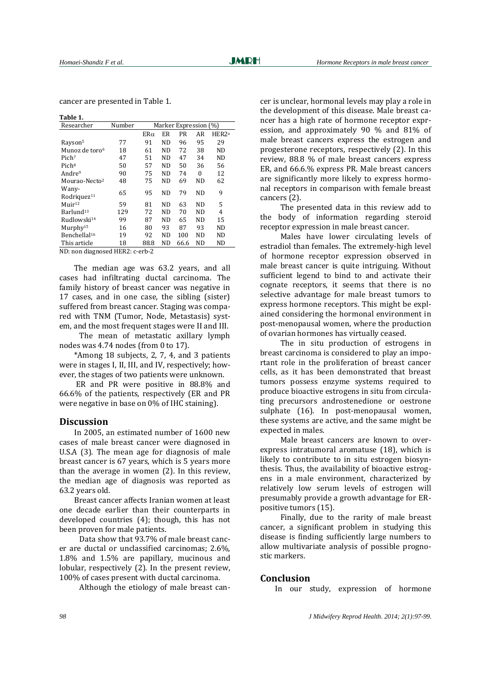cancer are presented in Table 1.

| Table 1.                         |        |                       |                |      |           |                   |  |
|----------------------------------|--------|-----------------------|----------------|------|-----------|-------------------|--|
| Researcher                       | Number | Marker Expression (%) |                |      |           |                   |  |
|                                  |        | $ER\alpha$            | ER             | PR   | AR        | HER2 <sup>a</sup> |  |
| Rayson <sup>5</sup>              | 77     | 91                    | N <sub>D</sub> | 96   | 95        | 29                |  |
| Munoz de toro <sup>6</sup>       | 18     | 61                    | ND             | 72   | 38        | ND                |  |
| Pich <sup>7</sup>                | 47     | 51                    | N <sub>D</sub> | 47   | 34        | <b>ND</b>         |  |
| Pich <sup>8</sup>                | 50     | 57                    | ND.            | 50   | 36        | 56                |  |
| Andre <sup>9</sup>               | 90     | 75                    | ND.            | 74   | 0         | 12                |  |
| Mourao-Necto <sup>2</sup>        | 48     | 75                    | ND             | 69   | ND        | 62                |  |
| Wany-<br>Rodriguez <sup>11</sup> | 65     | 95                    | ND             | 79   | <b>ND</b> | 9                 |  |
| $M$ uir <sup>12</sup>            | 59     | 81                    | ND.            | 63   | <b>ND</b> | 5                 |  |
| Barlund <sup>13</sup>            | 129    | 72                    | ND.            | 70   | <b>ND</b> | 4                 |  |
| Rudlowski <sup>14</sup>          | 99     | 87                    | N <sub>D</sub> | 65   | <b>ND</b> | 15                |  |
| Murphy <sup>15</sup>             | 16     | 80                    | 93             | 87   | 93        | ND                |  |
| Benchellal <sup>16</sup>         | 19     | 92                    | ND             | 100  | ND        | ND                |  |
| This article                     | 18     | 88.8                  | ND             | 66.6 | ND        | ND                |  |
|                                  |        |                       |                |      |           |                   |  |

ND: non diagnosed HER2: c-erb-2

The median age was 63.2 years, and all cases had infiltrating ductal carcinoma. The family history of breast cancer was negative in 17 cases, and in one case, the sibling (sister) suffered from breast cancer. Staging was compared with TNM (Tumor, Node, Metastasis) system, and the most frequent stages were II and III.

 The mean of metastatic axillary lymph nodes was 4.74 nodes (from 0 to 17).

\*Among 18 subjects, 2, 7, 4, and 3 patients were in stages I, II, III, and IV, respectively; however, the stages of two patients were unknown.

ER and PR were positive in 88.8% and 66.6% of the patients, respectively (ER and PR were negative in base on 0% of IHC staining).

#### **Discussion**

In 2005, an estimated number of 1600 new cases of male breast cancer were diagnosed in U.S.A (3). The mean age for diagnosis of male breast cancer is 67 years, which is 5 years more than the average in women (2). In this review, the median age of diagnosis was reported as 63.2 years old.

Breast cancer affects Iranian women at least one decade earlier than their counterparts in developed countries (4); though, this has not been proven for male patients.

 Data show that 93.7% of male breast cancer are ductal or unclassified carcinomas; 2.6%, 1.8% and 1.5% are papillary, mucinous and lobular, respectively (2). In the present review, 100% of cases present with ductal carcinoma.

Although the etiology of male breast can-

cer is unclear, hormonal levels may play a role in the development of this disease. Male breast cancer has a high rate of hormone receptor expression, and approximately 90 % and 81% of male breast cancers express the estrogen and progesterone receptors, respectively (2). In this review, 88.8 % of male breast cancers express ER, and 66.6.% express PR. Male breast cancers are significantly more likely to express hormonal receptors in comparison with female breast cancers (2).

 The presented data in this review add to the body of information regarding steroid receptor expression in male breast cancer.

 Males have lower circulating levels of estradiol than females. The extremely-high level of hormone receptor expression observed in male breast cancer is quite intriguing. Without sufficient legend to bind to and activate their cognate receptors, it seems that there is no selective advantage for male breast tumors to express hormone receptors. This might be explained considering the hormonal environment in post-menopausal women, where the production of ovarian hormones has virtually ceased.

 The in situ production of estrogens in breast carcinoma is considered to play an important role in the proliferation of breast cancer cells, as it has been demonstrated that breast tumors possess enzyme systems required to produce bioactive estrogens in situ from circulating precursors androstenedione or oestrone sulphate (16). In post-menopausal women, these systems are active, and the same might be expected in males.

 Male breast cancers are known to overexpress intratumoral aromatuse (18), which is likely to contribute to in situ estrogen biosynthesis. Thus, the availability of bioactive estrogens in a male environment, characterized by relatively low serum levels of estrogen will presumably provide a growth advantage for ERpositive tumors (15).

 Finally, due to the rarity of male breast cancer, a significant problem in studying this disease is finding sufficiently large numbers to allow multivariate analysis of possible prognostic markers.

#### **Conclusion**

In our study, expression of hormone